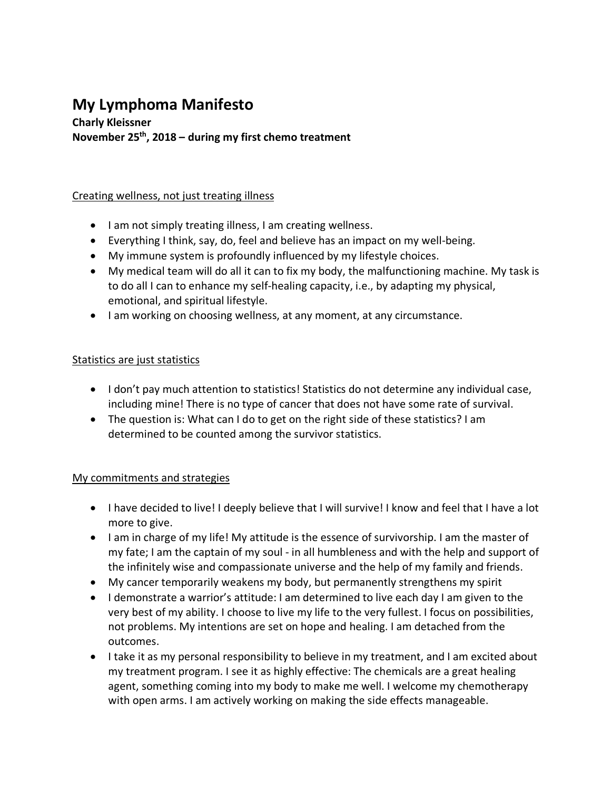# **My Lymphoma Manifesto**

## **Charly Kleissner November 25th, 2018 – during my first chemo treatment**

#### Creating wellness, not just treating illness

- I am not simply treating illness, I am creating wellness.
- Everything I think, say, do, feel and believe has an impact on my well-being.
- My immune system is profoundly influenced by my lifestyle choices.
- My medical team will do all it can to fix my body, the malfunctioning machine. My task is to do all I can to enhance my self-healing capacity, i.e., by adapting my physical, emotional, and spiritual lifestyle.
- I am working on choosing wellness, at any moment, at any circumstance.

#### Statistics are just statistics

- I don't pay much attention to statistics! Statistics do not determine any individual case, including mine! There is no type of cancer that does not have some rate of survival.
- The question is: What can I do to get on the right side of these statistics? I am determined to be counted among the survivor statistics.

#### My commitments and strategies

- I have decided to live! I deeply believe that I will survive! I know and feel that I have a lot more to give.
- I am in charge of my life! My attitude is the essence of survivorship. I am the master of my fate; I am the captain of my soul - in all humbleness and with the help and support of the infinitely wise and compassionate universe and the help of my family and friends.
- My cancer temporarily weakens my body, but permanently strengthens my spirit
- I demonstrate a warrior's attitude: I am determined to live each day I am given to the very best of my ability. I choose to live my life to the very fullest. I focus on possibilities, not problems. My intentions are set on hope and healing. I am detached from the outcomes.
- I take it as my personal responsibility to believe in my treatment, and I am excited about my treatment program. I see it as highly effective: The chemicals are a great healing agent, something coming into my body to make me well. I welcome my chemotherapy with open arms. I am actively working on making the side effects manageable.